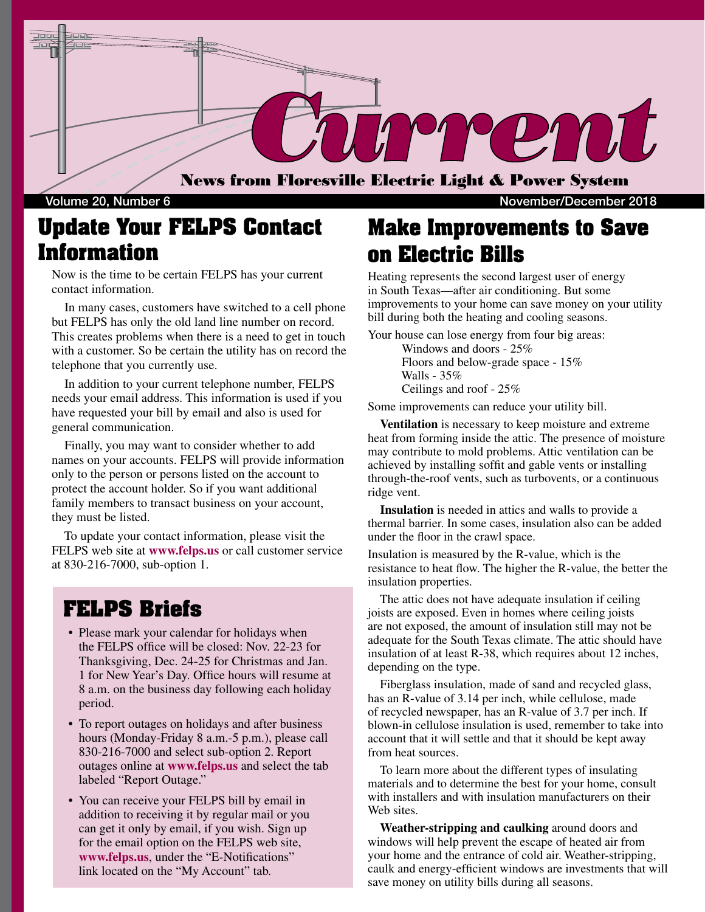

### **Update Your FELPS Contact Information**

Now is the time to be certain FELPS has your current contact information.

 In many cases, customers have switched to a cell phone but FELPS has only the old land line number on record. This creates problems when there is a need to get in touch with a customer. So be certain the utility has on record the telephone that you currently use.

 In addition to your current telephone number, FELPS needs your email address. This information is used if you have requested your bill by email and also is used for general communication.

 Finally, you may want to consider whether to add names on your accounts. FELPS will provide information only to the person or persons listed on the account to protect the account holder. So if you want additional family members to transact business on your account, they must be listed.

 To update your contact information, please visit the FELPS web site at **www.felps.us** or call customer service at 830-216-7000, sub-option 1.

#### **FELPS Briefs**

- Please mark your calendar for holidays when the FELPS office will be closed: Nov. 22-23 for Thanksgiving, Dec. 24-25 for Christmas and Jan. 1 for New Year's Day. Office hours will resume at 8 a.m. on the business day following each holiday period.
- To report outages on holidays and after business hours (Monday-Friday 8 a.m.-5 p.m.), please call 830-216-7000 and select sub-option 2. Report outages online at **www.felps.us** and select the tab labeled "Report Outage."
- You can receive your FELPS bill by email in addition to receiving it by regular mail or you can get it only by email, if you wish. Sign up for the email option on the FELPS web site, **www.felps.us**, under the "E-Notifications" link located on the "My Account" tab.

### **Make Improvements to Save on Electric Bills**

Heating represents the second largest user of energy in South Texas—after air conditioning. But some improvements to your home can save money on your utility bill during both the heating and cooling seasons.

Your house can lose energy from four big areas: Windows and doors - 25% Floors and below-grade space - 15%

> Walls -  $35%$ Ceilings and roof - 25%

Some improvements can reduce your utility bill.

 **Ventilation** is necessary to keep moisture and extreme heat from forming inside the attic. The presence of moisture may contribute to mold problems. Attic ventilation can be achieved by installing soffit and gable vents or installing through-the-roof vents, such as turbovents, or a continuous ridge vent.

 **Insulation** is needed in attics and walls to provide a thermal barrier. In some cases, insulation also can be added under the floor in the crawl space.

Insulation is measured by the R-value, which is the resistance to heat flow. The higher the R-value, the better the insulation properties.

 The attic does not have adequate insulation if ceiling joists are exposed. Even in homes where ceiling joists are not exposed, the amount of insulation still may not be adequate for the South Texas climate. The attic should have insulation of at least R-38, which requires about 12 inches, depending on the type.

 Fiberglass insulation, made of sand and recycled glass, has an R-value of 3.14 per inch, while cellulose, made of recycled newspaper, has an R-value of 3.7 per inch. If blown-in cellulose insulation is used, remember to take into account that it will settle and that it should be kept away from heat sources.

 To learn more about the different types of insulating materials and to determine the best for your home, consult with installers and with insulation manufacturers on their Web sites.

 **Weather-stripping and caulking** around doors and windows will help prevent the escape of heated air from your home and the entrance of cold air. Weather-stripping, caulk and energy-efficient windows are investments that will save money on utility bills during all seasons.